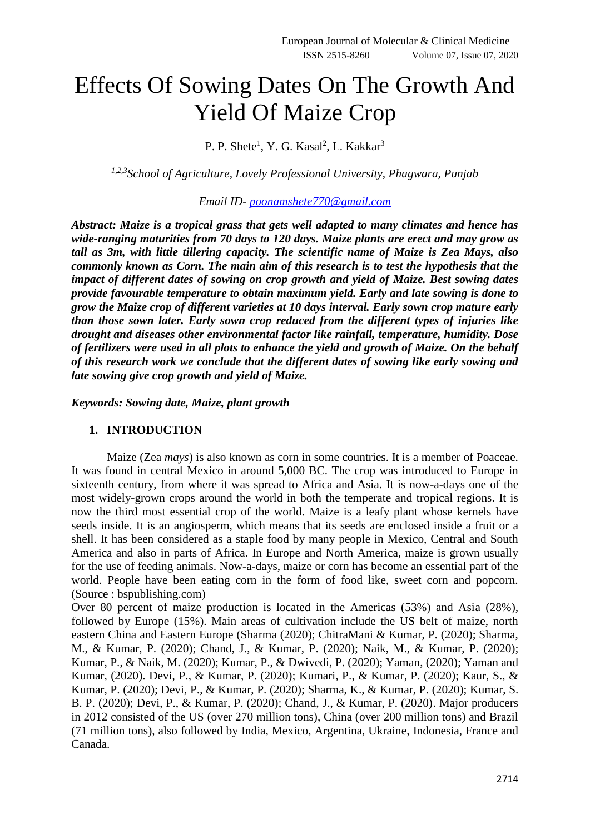# Effects Of Sowing Dates On The Growth And Yield Of Maize Crop

P. P. Shete<sup>1</sup>, Y. G. Kasal<sup>2</sup>, L. Kakkar<sup>3</sup>

*1,2,3School of Agriculture, Lovely Professional University, Phagwara, Punjab*

*Email ID- [poonamshete770@gmail.com](mailto:poonamshete770@gmail.com)*

*Abstract: Maize is a tropical grass that gets well adapted to many climates and hence has wide-ranging maturities from 70 days to 120 days. Maize plants are erect and may grow as tall as 3m, with little tillering capacity. The scientific name of Maize is Zea Mays, also commonly known as Corn. The main aim of this research is to test the hypothesis that the impact of different dates of sowing on crop growth and yield of Maize. Best sowing dates provide favourable temperature to obtain maximum yield. Early and late sowing is done to grow the Maize crop of different varieties at 10 days interval. Early sown crop mature early than those sown later. Early sown crop reduced from the different types of injuries like drought and diseases other environmental factor like rainfall, temperature, humidity. Dose of fertilizers were used in all plots to enhance the yield and growth of Maize. On the behalf of this research work we conclude that the different dates of sowing like early sowing and late sowing give crop growth and yield of Maize.*

*Keywords: Sowing date, Maize, plant growth*

#### **1. INTRODUCTION**

Maize (Zea *mays*) is also known as corn in some countries. It is a member of Poaceae. It was found in central Mexico in around 5,000 BC. The crop was introduced to Europe in sixteenth century, from where it was spread to Africa and Asia. It is now-a-days one of the most widely-grown crops around the world in both the temperate and tropical regions. It is now the third most essential crop of the world. Maize is a leafy plant whose kernels have seeds inside. It is an angiosperm, which means that its seeds are enclosed inside a fruit or a shell. It has been considered as a staple food by many people in Mexico, Central and South America and also in parts of Africa. In Europe and North America, maize is grown usually for the use of feeding animals. Now-a-days, maize or corn has become an essential part of the world. People have been eating corn in the form of food like, sweet corn and popcorn. (Source : bspublishing.com)

Over 80 percent of maize production is located in the Americas (53%) and Asia (28%), followed by Europe (15%). Main areas of cultivation include the US belt of maize, north eastern China and Eastern Europe (Sharma (2020); ChitraMani & Kumar, P. (2020); Sharma, M., & Kumar, P. (2020); Chand, J., & Kumar, P. (2020); Naik, M., & Kumar, P. (2020); Kumar, P., & Naik, M. (2020); Kumar, P., & Dwivedi, P. (2020); Yaman, (2020); Yaman and Kumar, (2020). Devi, P., & Kumar, P. (2020); Kumari, P., & Kumar, P. (2020); Kaur, S., & Kumar, P. (2020); Devi, P., & Kumar, P. (2020); Sharma, K., & Kumar, P. (2020); Kumar, S. B. P. (2020); Devi, P., & Kumar, P. (2020); Chand, J., & Kumar, P. (2020). Major producers in 2012 consisted of the US (over 270 million tons), China (over 200 million tons) and Brazil (71 million tons), also followed by India, Mexico, Argentina, Ukraine, Indonesia, France and Canada.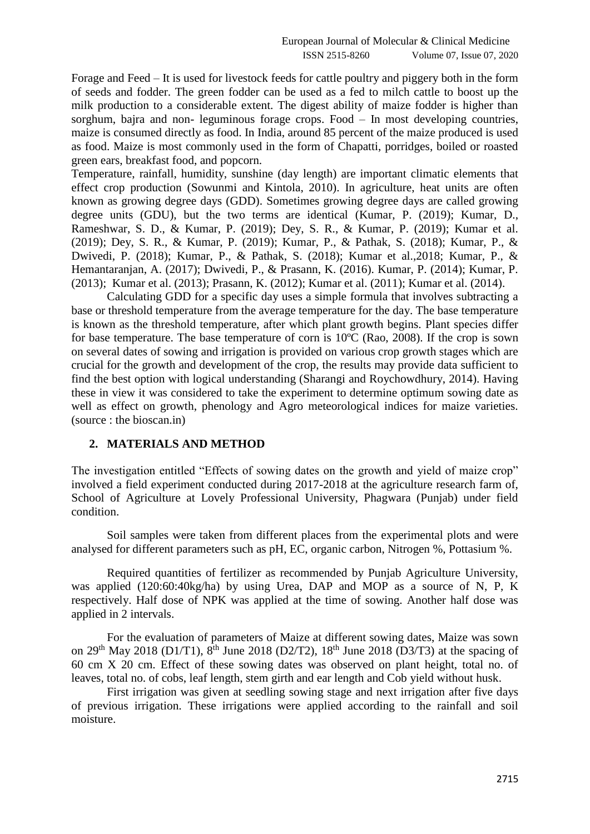Forage and Feed – It is used for livestock feeds for cattle poultry and piggery both in the form of seeds and fodder. The green fodder can be used as a fed to milch cattle to boost up the milk production to a considerable extent. The digest ability of maize fodder is higher than sorghum, bajra and non- leguminous forage crops. Food – In most developing countries, maize is consumed directly as food. In India, around 85 percent of the maize produced is used as food. Maize is most commonly used in the form of Chapatti, porridges, boiled or roasted green ears, breakfast food, and popcorn.

Temperature, rainfall, humidity, sunshine (day length) are important climatic elements that effect crop production (Sowunmi and Kintola, 2010). In agriculture, heat units are often known as growing degree days (GDD). Sometimes growing degree days are called growing degree units (GDU), but the two terms are identical (Kumar, P. (2019); Kumar, D., Rameshwar, S. D., & Kumar, P. (2019); Dey, S. R., & Kumar, P. (2019); Kumar et al. (2019); Dey, S. R., & Kumar, P. (2019); Kumar, P., & Pathak, S. (2018); Kumar, P., & Dwivedi, P. (2018); Kumar, P., & Pathak, S. (2018); Kumar et al.,2018; Kumar, P., & Hemantaranjan, A. (2017); Dwivedi, P., & Prasann, K. (2016). Kumar, P. (2014); Kumar, P. (2013); Kumar et al. (2013); Prasann, K. (2012); Kumar et al. (2011); Kumar et al. (2014).

Calculating GDD for a specific day uses a simple formula that involves subtracting a base or threshold temperature from the average temperature for the day. The base temperature is known as the threshold temperature, after which plant growth begins. Plant species differ for base temperature. The base temperature of corn is 10ºC (Rao, 2008). If the crop is sown on several dates of sowing and irrigation is provided on various crop growth stages which are crucial for the growth and development of the crop, the results may provide data sufficient to find the best option with logical understanding (Sharangi and Roychowdhury, 2014). Having these in view it was considered to take the experiment to determine optimum sowing date as well as effect on growth, phenology and Agro meteorological indices for maize varieties. (source : the bioscan.in)

# **2. MATERIALS AND METHOD**

The investigation entitled "Effects of sowing dates on the growth and yield of maize crop" involved a field experiment conducted during 2017-2018 at the agriculture research farm of, School of Agriculture at Lovely Professional University, Phagwara (Punjab) under field condition.

Soil samples were taken from different places from the experimental plots and were analysed for different parameters such as pH, EC, organic carbon, Nitrogen %, Pottasium %.

Required quantities of fertilizer as recommended by Punjab Agriculture University, was applied (120:60:40kg/ha) by using Urea, DAP and MOP as a source of N, P, K respectively. Half dose of NPK was applied at the time of sowing. Another half dose was applied in 2 intervals.

For the evaluation of parameters of Maize at different sowing dates, Maize was sown on 29<sup>th</sup> May 2018 (D1/T1), 8<sup>th</sup> June 2018 (D2/T2), 18<sup>th</sup> June 2018 (D3/T3) at the spacing of 60 cm X 20 cm. Effect of these sowing dates was observed on plant height, total no. of leaves, total no. of cobs, leaf length, stem girth and ear length and Cob yield without husk.

First irrigation was given at seedling sowing stage and next irrigation after five days of previous irrigation. These irrigations were applied according to the rainfall and soil moisture.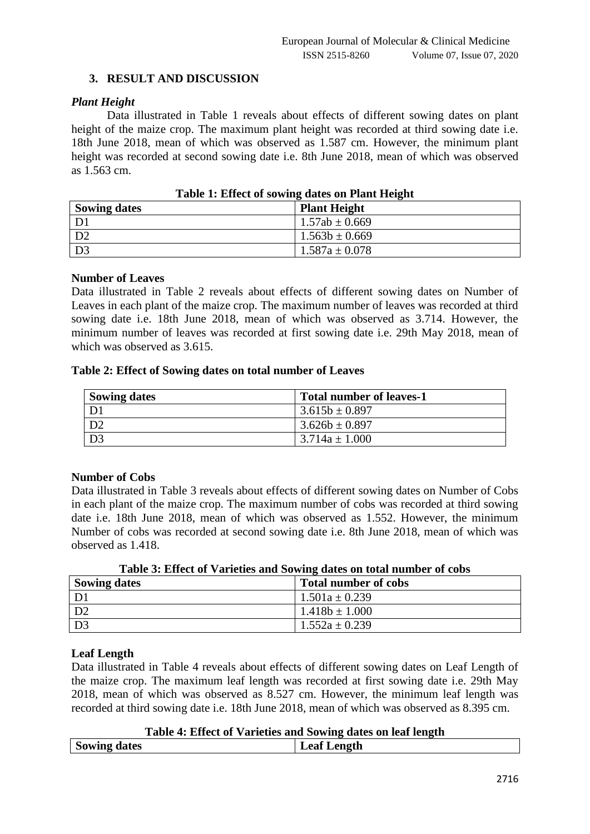# **3. RESULT AND DISCUSSION**

## *Plant Height*

Data illustrated in Table 1 reveals about effects of different sowing dates on plant height of the maize crop. The maximum plant height was recorded at third sowing date i.e. 18th June 2018, mean of which was observed as 1.587 cm. However, the minimum plant height was recorded at second sowing date i.e. 8th June 2018, mean of which was observed as 1.563 cm.

| <b>Sowing dates</b> | <b>Plant Height</b> |
|---------------------|---------------------|
|                     | $1.57ab \pm 0.669$  |
|                     | $1.563b \pm 0.669$  |
|                     | $1.587a \pm 0.078$  |

**Table 1: Effect of sowing dates on Plant Height**

#### **Number of Leaves**

Data illustrated in Table 2 reveals about effects of different sowing dates on Number of Leaves in each plant of the maize crop. The maximum number of leaves was recorded at third sowing date i.e. 18th June 2018, mean of which was observed as 3.714. However, the minimum number of leaves was recorded at first sowing date i.e. 29th May 2018, mean of which was observed as 3.615.

#### **Table 2: Effect of Sowing dates on total number of Leaves**

| <b>Sowing dates</b> | <b>Total number of leaves-1</b> |
|---------------------|---------------------------------|
|                     | $3.615b \pm 0.897$              |
|                     | $3.626b \pm 0.897$              |
|                     | $3.714a \pm 1.000$              |

# **Number of Cobs**

Data illustrated in Table 3 reveals about effects of different sowing dates on Number of Cobs in each plant of the maize crop. The maximum number of cobs was recorded at third sowing date i.e. 18th June 2018, mean of which was observed as 1.552. However, the minimum Number of cobs was recorded at second sowing date i.e. 8th June 2018, mean of which was observed as 1.418.

| Table of Effect of Varieties and Downig dates on total humber of cops |                             |  |
|-----------------------------------------------------------------------|-----------------------------|--|
| <b>Sowing dates</b>                                                   | <b>Total number of cobs</b> |  |
| D1                                                                    | $1.501a \pm 0.239$          |  |
| D <sub>2</sub>                                                        | $1.418b \pm 1.000$          |  |
| D <sub>3</sub>                                                        | $1.552a \pm 0.239$          |  |

**Table 3: Effect of Varieties and Sowing dates on total number of cobs**

# **Leaf Length**

Data illustrated in Table 4 reveals about effects of different sowing dates on Leaf Length of the maize crop. The maximum leaf length was recorded at first sowing date i.e. 29th May 2018, mean of which was observed as 8.527 cm. However, the minimum leaf length was recorded at third sowing date i.e. 18th June 2018, mean of which was observed as 8.395 cm.

#### **Table 4: Effect of Varieties and Sowing dates on leaf length**

| <b>Sowing dates</b> | <b>Leaf Length</b> |
|---------------------|--------------------|
|                     |                    |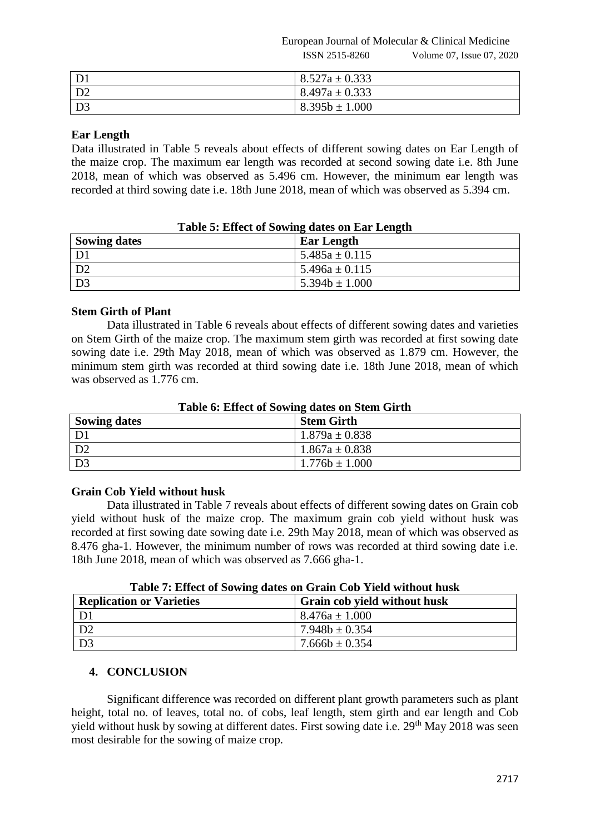European Journal of Molecular & Clinical Medicine ISSN 2515-8260 Volume 07, Issue 07, 2020

| D <sup>1</sup> | $8.527a \pm 0.333$ |
|----------------|--------------------|
| D2             | $8.497a \pm 0.333$ |
| D <sub>3</sub> | $8.395b \pm 1.000$ |

# **Ear Length**

Data illustrated in Table 5 reveals about effects of different sowing dates on Ear Length of the maize crop. The maximum ear length was recorded at second sowing date i.e. 8th June 2018, mean of which was observed as 5.496 cm. However, the minimum ear length was recorded at third sowing date i.e. 18th June 2018, mean of which was observed as 5.394 cm.

| Table 5: Effect of Sowing dates on Ear Length |                    |  |
|-----------------------------------------------|--------------------|--|
| <b>Sowing dates</b>                           | <b>Ear Length</b>  |  |
| D1                                            | $5.485a \pm 0.115$ |  |
| D <sub>2</sub>                                | $5.496a \pm 0.115$ |  |
| D3                                            | $5.394b \pm 1.000$ |  |

#### **Table 5: Effect of Sowing dates on Ear Length**

# **Stem Girth of Plant**

Data illustrated in Table 6 reveals about effects of different sowing dates and varieties on Stem Girth of the maize crop. The maximum stem girth was recorded at first sowing date sowing date i.e. 29th May 2018, mean of which was observed as 1.879 cm. However, the minimum stem girth was recorded at third sowing date i.e. 18th June 2018, mean of which was observed as 1.776 cm.

| TWOTE OF EXISTE OF DOMAINS WHERE ONE DECISION ON THE |                    |  |
|------------------------------------------------------|--------------------|--|
| <b>Sowing dates</b>                                  | <b>Stem Girth</b>  |  |
|                                                      | $1.879a \pm 0.838$ |  |
| D2                                                   | $1.867a \pm 0.838$ |  |
| D <sub>3</sub>                                       | $1.776b \pm 1.000$ |  |

# **Table 6: Effect of Sowing dates on Stem Girth**

# **Grain Cob Yield without husk**

Data illustrated in Table 7 reveals about effects of different sowing dates on Grain cob yield without husk of the maize crop. The maximum grain cob yield without husk was recorded at first sowing date sowing date i.e. 29th May 2018, mean of which was observed as 8.476 gha-1. However, the minimum number of rows was recorded at third sowing date i.e. 18th June 2018, mean of which was observed as 7.666 gha-1.

|  |  |  | Table 7: Effect of Sowing dates on Grain Cob Yield without husk |
|--|--|--|-----------------------------------------------------------------|
|  |  |  |                                                                 |

| <b>Replication or Varieties</b> | Grain cob yield without husk |
|---------------------------------|------------------------------|
|                                 | $8.476a \pm 1.000$           |
|                                 | $7.948b \pm 0.354$           |
|                                 | $7.666b \pm 0.354$           |

# **4. CONCLUSION**

Significant difference was recorded on different plant growth parameters such as plant height, total no. of leaves, total no. of cobs, leaf length, stem girth and ear length and Cob yield without husk by sowing at different dates. First sowing date i.e. 29<sup>th</sup> May 2018 was seen most desirable for the sowing of maize crop.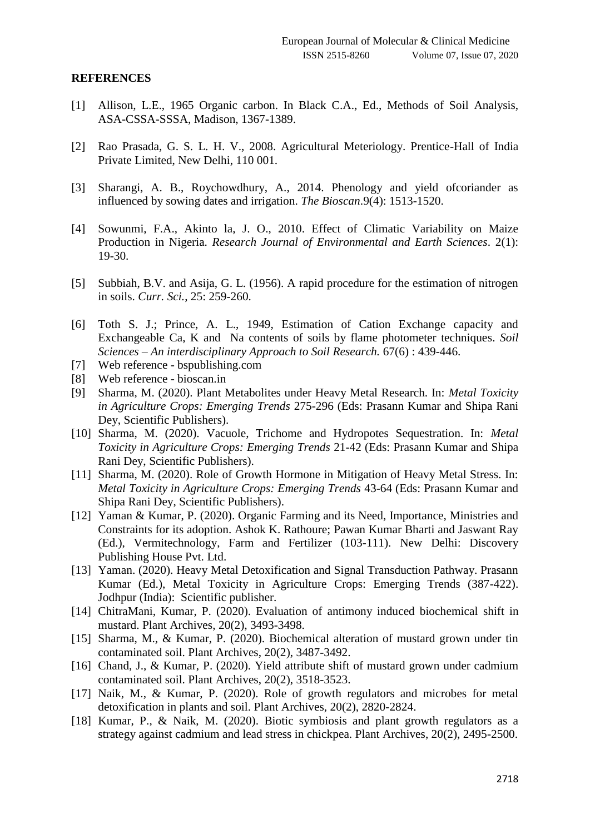#### **REFERENCES**

- [1] Allison, L.E., 1965 Organic carbon. In Black C.A., Ed., Methods of Soil Analysis, ASA-CSSA-SSSA, Madison, 1367-1389.
- [2] Rao Prasada, G. S. L. H. V., 2008. Agricultural Meteriology. Prentice-Hall of India Private Limited, New Delhi, 110 001.
- [3] Sharangi, A. B., Roychowdhury, A., 2014. Phenology and yield ofcoriander as influenced by sowing dates and irrigation. *The Bioscan*.9(4): 1513-1520.
- [4] Sowunmi, F.A., Akinto la, J. O., 2010. Effect of Climatic Variability on Maize Production in Nigeria. *Research Journal of Environmental and Earth Sciences*. 2(1): 19-30.
- [5] Subbiah, B.V. and Asija, G. L. (1956). A rapid procedure for the estimation of nitrogen in soils. *Curr. Sci.*, 25: 259-260.
- [6] Toth S. J.; Prince, A. L., 1949, Estimation of Cation Exchange capacity and Exchangeable Ca, K and Na contents of soils by flame photometer techniques. *Soil Sciences – An interdisciplinary Approach to Soil Research.* 67(6) : 439-446.
- [7] Web reference bspublishing.com
- [8] Web reference bioscan.in
- [9] Sharma, M. (2020). Plant Metabolites under Heavy Metal Research. In: *Metal Toxicity in Agriculture Crops: Emerging Trends* 275-296 (Eds: Prasann Kumar and Shipa Rani Dey, Scientific Publishers).
- [10] Sharma, M. (2020). Vacuole, Trichome and Hydropotes Sequestration. In: *Metal Toxicity in Agriculture Crops: Emerging Trends* 21-42 (Eds: Prasann Kumar and Shipa Rani Dey, Scientific Publishers).
- [11] Sharma, M. (2020). Role of Growth Hormone in Mitigation of Heavy Metal Stress. In: *Metal Toxicity in Agriculture Crops: Emerging Trends* 43-64 (Eds: Prasann Kumar and Shipa Rani Dey, Scientific Publishers).
- [12] Yaman & Kumar, P. (2020). Organic Farming and its Need, Importance, Ministries and Constraints for its adoption. Ashok K. Rathoure; Pawan Kumar Bharti and Jaswant Ray (Ed.), Vermitechnology, Farm and Fertilizer (103-111). New Delhi: Discovery Publishing House Pvt. Ltd.
- [13] Yaman. (2020). Heavy Metal Detoxification and Signal Transduction Pathway. Prasann Kumar (Ed.), Metal Toxicity in Agriculture Crops: Emerging Trends (387-422). Jodhpur (India): Scientific publisher.
- [14] ChitraMani, Kumar, P. (2020). Evaluation of antimony induced biochemical shift in mustard. Plant Archives, 20(2), 3493-3498.
- [15] Sharma, M., & Kumar, P. (2020). Biochemical alteration of mustard grown under tin contaminated soil. Plant Archives, 20(2), 3487-3492.
- [16] Chand, J., & Kumar, P. (2020). Yield attribute shift of mustard grown under cadmium contaminated soil. Plant Archives, 20(2), 3518-3523.
- [17] Naik, M., & Kumar, P. (2020). Role of growth regulators and microbes for metal detoxification in plants and soil. Plant Archives, 20(2), 2820-2824.
- [18] Kumar, P., & Naik, M. (2020). Biotic symbiosis and plant growth regulators as a strategy against cadmium and lead stress in chickpea. Plant Archives, 20(2), 2495-2500.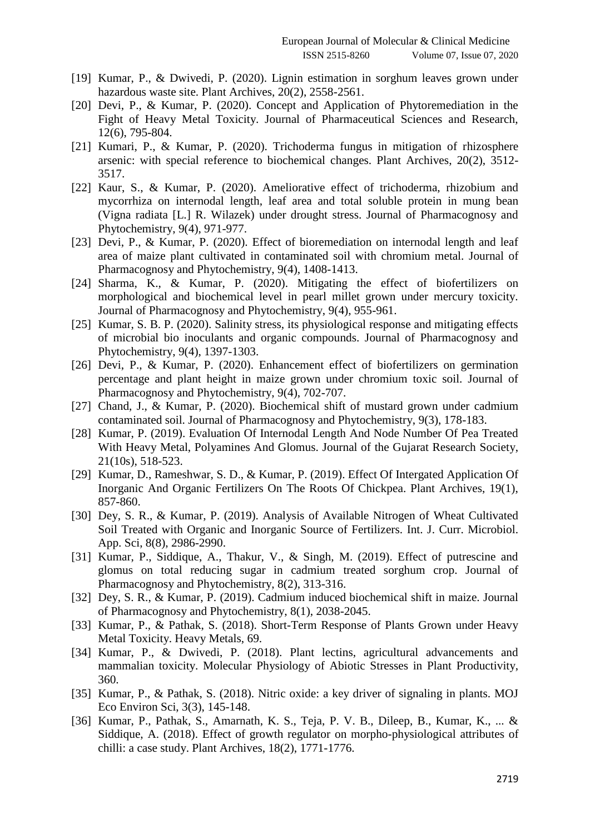- [19] Kumar, P., & Dwivedi, P. (2020). Lignin estimation in sorghum leaves grown under hazardous waste site. Plant Archives, 20(2), 2558-2561.
- [20] Devi, P., & Kumar, P. (2020). Concept and Application of Phytoremediation in the Fight of Heavy Metal Toxicity. Journal of Pharmaceutical Sciences and Research, 12(6), 795-804.
- [21] Kumari, P., & Kumar, P. (2020). Trichoderma fungus in mitigation of rhizosphere arsenic: with special reference to biochemical changes. Plant Archives, 20(2), 3512- 3517.
- [22] Kaur, S., & Kumar, P. (2020). Ameliorative effect of trichoderma, rhizobium and mycorrhiza on internodal length, leaf area and total soluble protein in mung bean (Vigna radiata [L.] R. Wilazek) under drought stress. Journal of Pharmacognosy and Phytochemistry, 9(4), 971-977.
- [23] Devi, P., & Kumar, P. (2020). Effect of bioremediation on internodal length and leaf area of maize plant cultivated in contaminated soil with chromium metal. Journal of Pharmacognosy and Phytochemistry, 9(4), 1408-1413.
- [24] Sharma, K., & Kumar, P. (2020). Mitigating the effect of biofertilizers on morphological and biochemical level in pearl millet grown under mercury toxicity. Journal of Pharmacognosy and Phytochemistry, 9(4), 955-961.
- [25] Kumar, S. B. P. (2020). Salinity stress, its physiological response and mitigating effects of microbial bio inoculants and organic compounds. Journal of Pharmacognosy and Phytochemistry, 9(4), 1397-1303.
- [26] Devi, P., & Kumar, P. (2020). Enhancement effect of biofertilizers on germination percentage and plant height in maize grown under chromium toxic soil. Journal of Pharmacognosy and Phytochemistry, 9(4), 702-707.
- [27] Chand, J., & Kumar, P. (2020). Biochemical shift of mustard grown under cadmium contaminated soil. Journal of Pharmacognosy and Phytochemistry, 9(3), 178-183.
- [28] Kumar, P. (2019). Evaluation Of Internodal Length And Node Number Of Pea Treated With Heavy Metal, Polyamines And Glomus. Journal of the Gujarat Research Society, 21(10s), 518-523.
- [29] Kumar, D., Rameshwar, S. D., & Kumar, P. (2019). Effect Of Intergated Application Of Inorganic And Organic Fertilizers On The Roots Of Chickpea. Plant Archives, 19(1), 857-860.
- [30] Dey, S. R., & Kumar, P. (2019). Analysis of Available Nitrogen of Wheat Cultivated Soil Treated with Organic and Inorganic Source of Fertilizers. Int. J. Curr. Microbiol. App. Sci, 8(8), 2986-2990.
- [31] Kumar, P., Siddique, A., Thakur, V., & Singh, M. (2019). Effect of putrescine and glomus on total reducing sugar in cadmium treated sorghum crop. Journal of Pharmacognosy and Phytochemistry, 8(2), 313-316.
- [32] Dey, S. R., & Kumar, P. (2019). Cadmium induced biochemical shift in maize. Journal of Pharmacognosy and Phytochemistry, 8(1), 2038-2045.
- [33] Kumar, P., & Pathak, S. (2018). Short-Term Response of Plants Grown under Heavy Metal Toxicity. Heavy Metals, 69.
- [34] Kumar, P., & Dwivedi, P. (2018). Plant lectins, agricultural advancements and mammalian toxicity. Molecular Physiology of Abiotic Stresses in Plant Productivity, 360.
- [35] Kumar, P., & Pathak, S. (2018). Nitric oxide: a key driver of signaling in plants. MOJ Eco Environ Sci, 3(3), 145-148.
- [36] Kumar, P., Pathak, S., Amarnath, K. S., Teja, P. V. B., Dileep, B., Kumar, K., ... & Siddique, A. (2018). Effect of growth regulator on morpho-physiological attributes of chilli: a case study. Plant Archives, 18(2), 1771-1776.